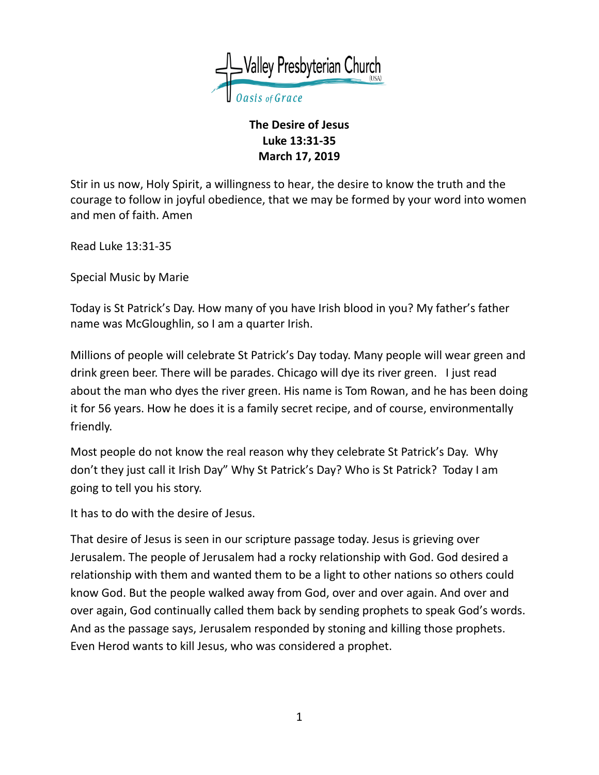

## **The Desire of Jesus Luke 13:31-35 March 17, 2019**

Stir in us now, Holy Spirit, a willingness to hear, the desire to know the truth and the courage to follow in joyful obedience, that we may be formed by your word into women and men of faith. Amen

Read Luke 13:31-35

Special Music by Marie

Today is St Patrick's Day. How many of you have Irish blood in you? My father's father name was McGloughlin, so I am a quarter Irish.

Millions of people will celebrate St Patrick's Day today. Many people will wear green and drink green beer. There will be parades. Chicago will dye its river green. I just read about the man who dyes the river green. His name is Tom Rowan, and he has been doing it for 56 years. How he does it is a family secret recipe, and of course, environmentally friendly.

Most people do not know the real reason why they celebrate St Patrick's Day. Why don't they just call it Irish Day" Why St Patrick's Day? Who is St Patrick? Today I am going to tell you his story.

It has to do with the desire of Jesus.

That desire of Jesus is seen in our scripture passage today. Jesus is grieving over Jerusalem. The people of Jerusalem had a rocky relationship with God. God desired a relationship with them and wanted them to be a light to other nations so others could know God. But the people walked away from God, over and over again. And over and over again, God continually called them back by sending prophets to speak God's words. And as the passage says, Jerusalem responded by stoning and killing those prophets. Even Herod wants to kill Jesus, who was considered a prophet.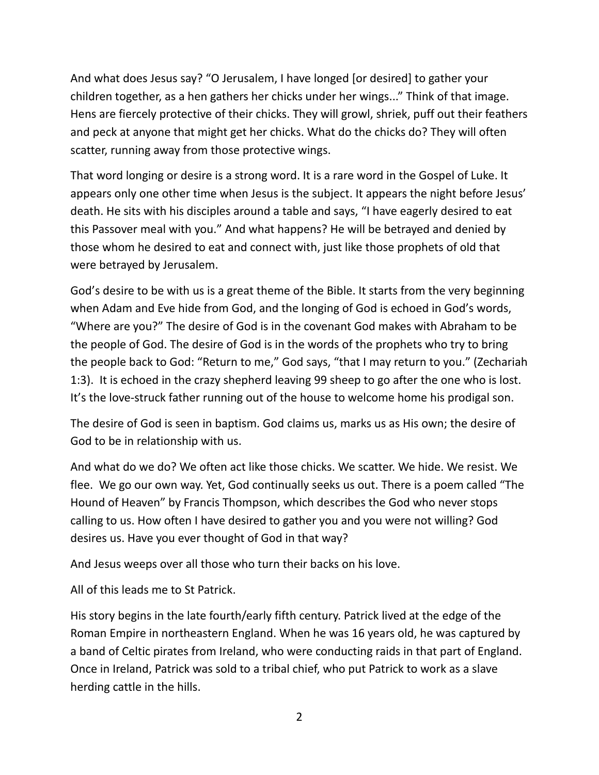And what does Jesus say? "O Jerusalem, I have longed [or desired] to gather your children together, as a hen gathers her chicks under her wings..." Think of that image. Hens are fiercely protective of their chicks. They will growl, shriek, puff out their feathers and peck at anyone that might get her chicks. What do the chicks do? They will often scatter, running away from those protective wings.

That word longing or desire is a strong word. It is a rare word in the Gospel of Luke. It appears only one other time when Jesus is the subject. It appears the night before Jesus' death. He sits with his disciples around a table and says, "I have eagerly desired to eat this Passover meal with you." And what happens? He will be betrayed and denied by those whom he desired to eat and connect with, just like those prophets of old that were betrayed by Jerusalem.

God's desire to be with us is a great theme of the Bible. It starts from the very beginning when Adam and Eve hide from God, and the longing of God is echoed in God's words, "Where are you?" The desire of God is in the covenant God makes with Abraham to be the people of God. The desire of God is in the words of the prophets who try to bring the people back to God: "Return to me," God says, "that I may return to you." (Zechariah 1:3). It is echoed in the crazy shepherd leaving 99 sheep to go after the one who is lost. It's the love-struck father running out of the house to welcome home his prodigal son.

The desire of God is seen in baptism. God claims us, marks us as His own; the desire of God to be in relationship with us.

And what do we do? We often act like those chicks. We scatter. We hide. We resist. We flee. We go our own way. Yet, God continually seeks us out. There is a poem called "The Hound of Heaven" by Francis Thompson, which describes the God who never stops calling to us. How often I have desired to gather you and you were not willing? God desires us. Have you ever thought of God in that way?

And Jesus weeps over all those who turn their backs on his love.

All of this leads me to St Patrick.

His story begins in the late fourth/early fifth century. Patrick lived at the edge of the Roman Empire in northeastern England. When he was 16 years old, he was captured by a band of Celtic pirates from Ireland, who were conducting raids in that part of England. Once in Ireland, Patrick was sold to a tribal chief, who put Patrick to work as a slave herding cattle in the hills.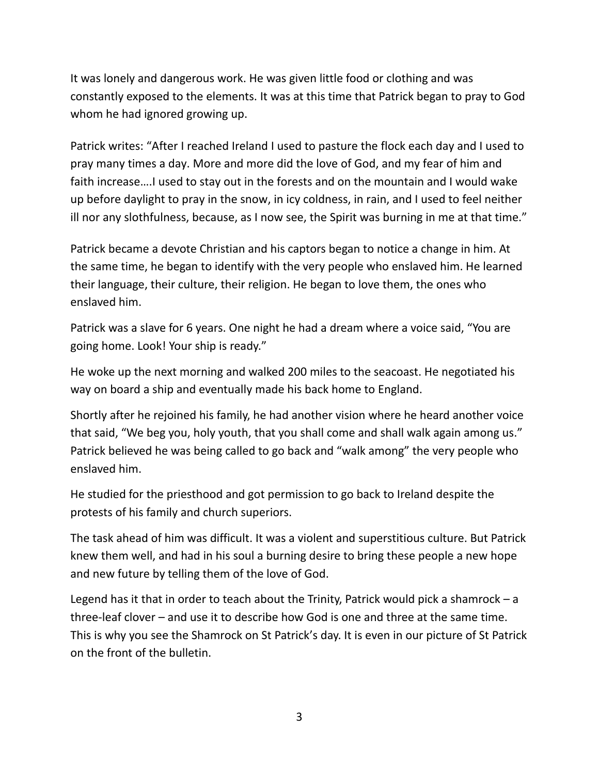It was lonely and dangerous work. He was given little food or clothing and was constantly exposed to the elements. It was at this time that Patrick began to pray to God whom he had ignored growing up.

Patrick writes: "After I reached Ireland I used to pasture the flock each day and I used to pray many times a day. More and more did the love of God, and my fear of him and faith increase….I used to stay out in the forests and on the mountain and I would wake up before daylight to pray in the snow, in icy coldness, in rain, and I used to feel neither ill nor any slothfulness, because, as I now see, the Spirit was burning in me at that time."

Patrick became a devote Christian and his captors began to notice a change in him. At the same time, he began to identify with the very people who enslaved him. He learned their language, their culture, their religion. He began to love them, the ones who enslaved him.

Patrick was a slave for 6 years. One night he had a dream where a voice said, "You are going home. Look! Your ship is ready."

He woke up the next morning and walked 200 miles to the seacoast. He negotiated his way on board a ship and eventually made his back home to England.

Shortly after he rejoined his family, he had another vision where he heard another voice that said, "We beg you, holy youth, that you shall come and shall walk again among us." Patrick believed he was being called to go back and "walk among" the very people who enslaved him.

He studied for the priesthood and got permission to go back to Ireland despite the protests of his family and church superiors.

The task ahead of him was difficult. It was a violent and superstitious culture. But Patrick knew them well, and had in his soul a burning desire to bring these people a new hope and new future by telling them of the love of God.

Legend has it that in order to teach about the Trinity, Patrick would pick a shamrock  $-$  a three-leaf clover – and use it to describe how God is one and three at the same time. This is why you see the Shamrock on St Patrick's day. It is even in our picture of St Patrick on the front of the bulletin.